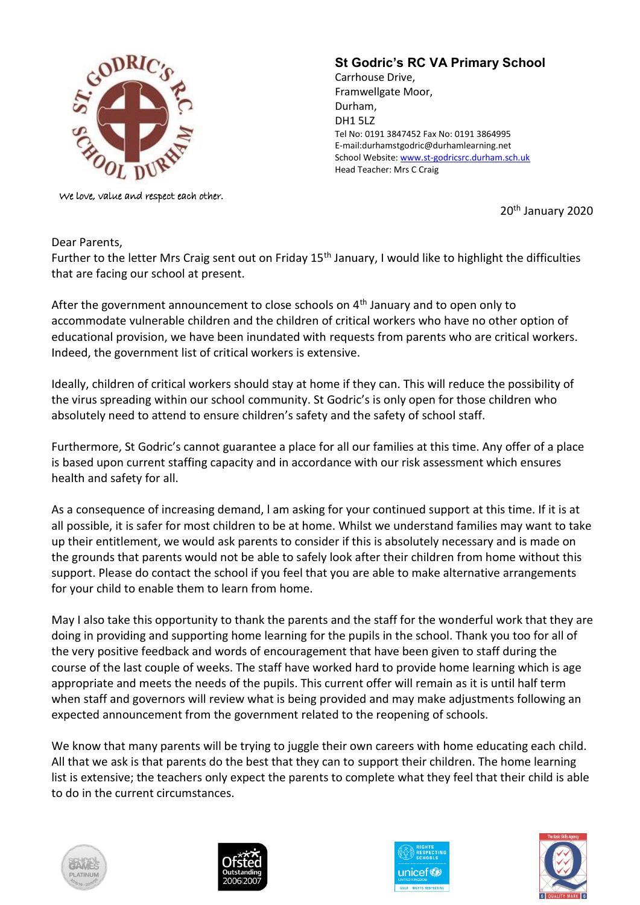

We love, value and respect each other.

## **St Godric's RC VA Primary School**

Carrhouse Drive, Framwellgate Moor, Durham, DH1 5LZ Tel No: 0191 3847452 Fax No: 0191 3864995 E-mail:durhamstgodric@durhamlearning.net School Website[: www.st-godricsrc.durham.sch.uk](http://www.st-godricsrc.durham.sch.uk/) Head Teacher: Mrs C Craig

20th January 2020

Dear Parents,

Further to the letter Mrs Craig sent out on Friday 15<sup>th</sup> January, I would like to highlight the difficulties that are facing our school at present.

After the government announcement to close schools on  $4<sup>th</sup>$  January and to open only to accommodate vulnerable children and the children of critical workers who have no other option of educational provision, we have been inundated with requests from parents who are critical workers. Indeed, the government list of critical workers is extensive.

Ideally, children of critical workers should stay at home if they can. This will reduce the possibility of the virus spreading within our school community. St Godric's is only open for those children who absolutely need to attend to ensure children's safety and the safety of school staff.

Furthermore, St Godric's cannot guarantee a place for all our families at this time. Any offer of a place is based upon current staffing capacity and in accordance with our risk assessment which ensures health and safety for all.

As a consequence of increasing demand, l am asking for your continued support at this time. If it is at all possible, it is safer for most children to be at home. Whilst we understand families may want to take up their entitlement, we would ask parents to consider if this is absolutely necessary and is made on the grounds that parents would not be able to safely look after their children from home without this support. Please do contact the school if you feel that you are able to make alternative arrangements for your child to enable them to learn from home.

May I also take this opportunity to thank the parents and the staff for the wonderful work that they are doing in providing and supporting home learning for the pupils in the school. Thank you too for all of the very positive feedback and words of encouragement that have been given to staff during the course of the last couple of weeks. The staff have worked hard to provide home learning which is age appropriate and meets the needs of the pupils. This current offer will remain as it is until half term when staff and governors will review what is being provided and may make adjustments following an expected announcement from the government related to the reopening of schools.

We know that many parents will be trying to juggle their own careers with home educating each child. All that we ask is that parents do the best that they can to support their children. The home learning list is extensive; the teachers only expect the parents to complete what they feel that their child is able to do in the current circumstances.